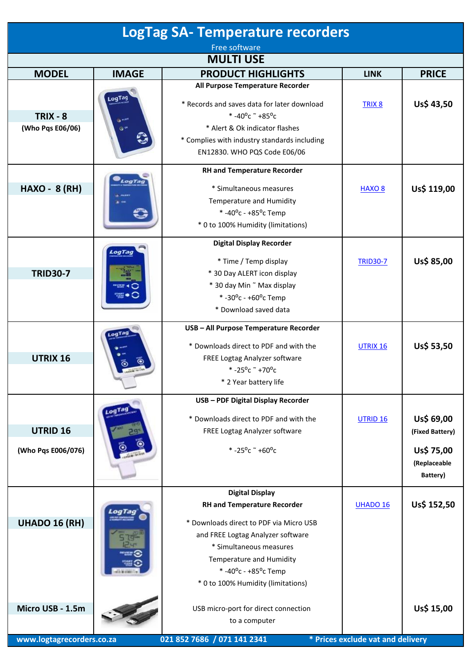| <b>LogTag SA- Temperature recorders</b>       |                          |                                                                                                                                                                                                                                                                  |                                   |                                                                         |  |
|-----------------------------------------------|--------------------------|------------------------------------------------------------------------------------------------------------------------------------------------------------------------------------------------------------------------------------------------------------------|-----------------------------------|-------------------------------------------------------------------------|--|
| Free software                                 |                          |                                                                                                                                                                                                                                                                  |                                   |                                                                         |  |
|                                               |                          | <b>MULTI USE</b>                                                                                                                                                                                                                                                 |                                   |                                                                         |  |
| <b>MODEL</b>                                  | <b>IMAGE</b>             | <b>PRODUCT HIGHLIGHTS</b>                                                                                                                                                                                                                                        | <b>LINK</b>                       | <b>PRICE</b>                                                            |  |
| $TRIX - 8$<br>(Who Pqs E06/06)                | LogTag<br><b>SI MERT</b> | All Purpose Temperature Recorder<br>* Records and saves data for later download<br>* -40°c $\degree$ +85°c<br>* Alert & Ok indicator flashes<br>* Complies with industry standards including<br>EN12830. WHO PQS Code E06/06                                     | TRIX <sub>8</sub>                 | Us\$ 43,50                                                              |  |
| <b>HAXO - 8 (RH)</b>                          | LogTag                   | <b>RH and Temperature Recorder</b><br>* Simultaneous measures<br>Temperature and Humidity<br>* -40 $^{\circ}$ c - +85 $^{\circ}$ c Temp<br>* 0 to 100% Humidity (limitations)                                                                                    | <b>HAXO 8</b>                     | Us\$ 119,00                                                             |  |
| <b>TRID30-7</b>                               | LogTag                   | <b>Digital Display Recorder</b><br>* Time / Temp display<br>* 30 Day ALERT icon display<br>* 30 day Min ~ Max display<br>*-30°c - +60°c Temp<br>* Download saved data                                                                                            | <b>TRID30-7</b>                   | Us\$ 85,00                                                              |  |
| UTRIX 16                                      | LogTag                   | USB - All Purpose Temperature Recorder<br>* Downloads direct to PDF and with the<br>FREE Logtag Analyzer software<br>$* -25^{\circ}$ c ~ +70°c<br>* 2 Year battery life                                                                                          | UTRIX 16                          | Us\$ 53,50                                                              |  |
| UTRID <sub>16</sub><br>(Who Pqs E006/076)     |                          | USB - PDF Digital Display Recorder<br>* Downloads direct to PDF and with the<br>FREE Logtag Analyzer software<br>$* -25^{\circ}$ c ~ +60°c                                                                                                                       | <b>UTRID 16</b>                   | Us\$ 69,00<br>(Fixed Battery)<br>Us\$ 75,00<br>(Replaceable<br>Battery) |  |
| <b>UHADO 16 (RH)</b>                          |                          | <b>Digital Display</b><br><b>RH and Temperature Recorder</b><br>* Downloads direct to PDF via Micro USB<br>and FREE Logtag Analyzer software<br>* Simultaneous measures<br>Temperature and Humidity<br>*-40°c - +85°c Temp<br>* 0 to 100% Humidity (limitations) | UHADO 16                          | Us\$ 152,50                                                             |  |
| Micro USB - 1.5m<br>www.logtagrecorders.co.za |                          | USB micro-port for direct connection<br>to a computer<br>021 852 7686 / 071 141 2341                                                                                                                                                                             | * Prices exclude vat and delivery | Us\$ 15,00                                                              |  |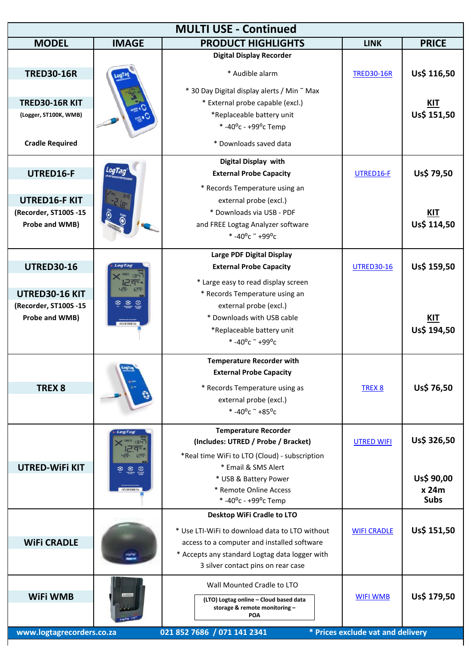| <b>MULTI USE - Continued</b>            |                                                                   |                                                                      |                                   |                           |
|-----------------------------------------|-------------------------------------------------------------------|----------------------------------------------------------------------|-----------------------------------|---------------------------|
| <b>MODEL</b>                            | <b>IMAGE</b>                                                      | <b>PRODUCT HIGHLIGHTS</b>                                            | <b>LINK</b>                       | <b>PRICE</b>              |
|                                         |                                                                   | <b>Digital Display Recorder</b>                                      |                                   |                           |
| <b>TRED30-16R</b>                       |                                                                   | * Audible alarm                                                      | <b>TRED30-16R</b>                 | Us\$ 116,50               |
|                                         |                                                                   | * 30 Day Digital display alerts / Min ~ Max                          |                                   |                           |
| <b>TRED30-16R KIT</b>                   |                                                                   | * External probe capable (excl.)                                     |                                   | <u>KIT</u>                |
| (Logger, ST100K, WMB)                   |                                                                   | *Replaceable battery unit                                            |                                   | Us\$ 151,50               |
|                                         |                                                                   | * -40 $^{\circ}$ c - +99 $^{\circ}$ c Temp                           |                                   |                           |
| <b>Cradle Required</b>                  |                                                                   | * Downloads saved data                                               |                                   |                           |
|                                         |                                                                   | Digital Display with                                                 |                                   |                           |
| UTRED16-F                               | LogTag                                                            | <b>External Probe Capacity</b>                                       | UTRED16-F                         | Us\$ 79,50                |
|                                         |                                                                   | * Records Temperature using an                                       |                                   |                           |
| <b>UTRED16-F KIT</b>                    |                                                                   | external probe (excl.)                                               |                                   |                           |
| (Recorder, ST100S -15                   |                                                                   | * Downloads via USB - PDF                                            |                                   | <b>KIT</b>                |
| Probe and WMB)                          |                                                                   | and FREE Logtag Analyzer software                                    |                                   | Us\$ 114,50               |
|                                         |                                                                   | * -40°c $\degree$ +99°c                                              |                                   |                           |
|                                         |                                                                   | Large PDF Digital Display                                            |                                   |                           |
| <b>UTRED30-16</b>                       |                                                                   | <b>External Probe Capacity</b>                                       | <b>UTRED30-16</b>                 | Us\$ 159,50               |
|                                         |                                                                   |                                                                      |                                   |                           |
|                                         | 129                                                               | * Large easy to read display screen                                  |                                   |                           |
| UTRED30-16 KIT<br>(Recorder, ST100S -15 | $\begin{matrix} 1 & 1 & 1 \\ 1 & 1 & 1 \\ 1 & 1 & 1 \end{matrix}$ | * Records Temperature using an                                       |                                   |                           |
| Probe and WMB)                          |                                                                   | external probe (excl.)<br>* Downloads with USB cable                 |                                   |                           |
|                                         |                                                                   | *Replaceable battery unit                                            |                                   | <u>KIT</u><br>Us\$ 194,50 |
|                                         |                                                                   | * -40°c $\degree$ +99°c                                              |                                   |                           |
|                                         |                                                                   |                                                                      |                                   |                           |
|                                         |                                                                   | <b>Temperature Recorder with</b>                                     |                                   |                           |
|                                         |                                                                   | <b>External Probe Capacity</b>                                       |                                   |                           |
| TREX <sub>8</sub>                       |                                                                   | * Records Temperature using as                                       | TREX <sub>8</sub>                 | Us\$ 76,50                |
|                                         |                                                                   | external probe (excl.)                                               |                                   |                           |
|                                         |                                                                   | *-40°c $+85$ °c                                                      |                                   |                           |
|                                         | LogTag                                                            | <b>Temperature Recorder</b>                                          |                                   |                           |
|                                         | <b>Hack</b>                                                       | (Includes: UTRED / Probe / Bracket)                                  | <b>UTRED WIFI</b>                 | Us\$ 326,50               |
|                                         | <b>19- 129</b>                                                    | *Real time WiFi to LTO (Cloud) - subscription                        |                                   |                           |
| <b>UTRED-WIFI KIT</b>                   | <b>8 8 8</b>                                                      | * Email & SMS Alert                                                  |                                   |                           |
|                                         |                                                                   | * USB & Battery Power                                                |                                   | Us\$ 90,00                |
|                                         |                                                                   | * Remote Online Access<br>* -40 $^{\circ}$ c - +99 $^{\circ}$ c Temp |                                   | x 24m<br><b>Subs</b>      |
|                                         |                                                                   | Desktop WiFi Cradle to LTO                                           |                                   |                           |
|                                         |                                                                   |                                                                      |                                   |                           |
|                                         |                                                                   | * Use LTI-WiFi to download data to LTO without                       | <b>WIFI CRADLE</b>                | Us\$ 151,50               |
| <b>WIFI CRADLE</b>                      |                                                                   | access to a computer and installed software                          |                                   |                           |
|                                         |                                                                   | * Accepts any standard Logtag data logger with                       |                                   |                           |
|                                         |                                                                   | 3 silver contact pins on rear case                                   |                                   |                           |
|                                         |                                                                   | Wall Mounted Cradle to LTO                                           |                                   |                           |
| <b>WiFi WMB</b>                         |                                                                   | (LTO) Logtag online - Cloud based data                               | <b>WIFI WMB</b>                   | Us\$ 179,50               |
|                                         |                                                                   | storage & remote monitoring-<br>POA                                  |                                   |                           |
|                                         |                                                                   |                                                                      |                                   |                           |
| www.logtagrecorders.co.za               |                                                                   | 021 852 7686 / 071 141 2341                                          | * Prices exclude vat and delivery |                           |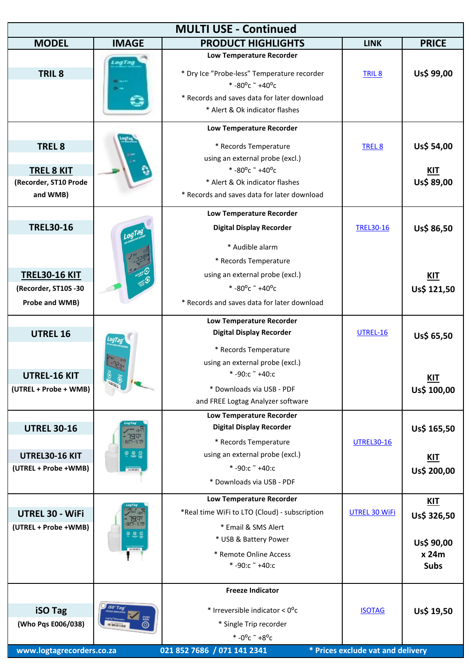| <b>MULTI USE - Continued</b>                                                       |                                   |                                                                                                                                                                                                                               |                                                    |                                                                 |  |
|------------------------------------------------------------------------------------|-----------------------------------|-------------------------------------------------------------------------------------------------------------------------------------------------------------------------------------------------------------------------------|----------------------------------------------------|-----------------------------------------------------------------|--|
| <b>MODEL</b>                                                                       | <b>IMAGE</b>                      | <b>PRODUCT HIGHLIGHTS</b>                                                                                                                                                                                                     | <b>LINK</b>                                        | <b>PRICE</b>                                                    |  |
| TRIL <sub>8</sub>                                                                  | LogTag                            | Low Temperature Recorder<br>* Dry Ice "Probe-less" Temperature recorder<br>$* -80^{\circ}$ c ~ +40°c<br>* Records and saves data for later download<br>* Alert & Ok indicator flashes                                         | <b>TRIL 8</b>                                      | Us\$ 99,00                                                      |  |
| <b>TREL 8</b><br><b>TREL 8 KIT</b><br>(Recorder, ST10 Prode<br>and WMB)            |                                   | <b>Low Temperature Recorder</b><br>* Records Temperature<br>using an external probe (excl.)<br>$* -80^{\circ}$ c ~ +40°c<br>* Alert & Ok indicator flashes<br>* Records and saves data for later download                     | TREL <sub>8</sub>                                  | Us\$ 54,00<br><b>KIT</b><br>Us\$ 89,00                          |  |
| <b>TREL30-16</b><br><b>TREL30-16 KIT</b><br>(Recorder, ST10S -30<br>Probe and WMB) |                                   | <b>Low Temperature Recorder</b><br><b>Digital Display Recorder</b><br>* Audible alarm<br>* Records Temperature<br>using an external probe (excl.)<br>$* -80^{\circ}$ c ~ +40°c<br>* Records and saves data for later download | <b>TREL30-16</b>                                   | Us\$ 86,50<br><b>KIT</b><br>Us\$ 121,50                         |  |
| <b>UTREL 16</b><br><b>UTREL-16 KIT</b><br>(UTREL + Probe + WMB)                    |                                   | <b>Low Temperature Recorder</b><br><b>Digital Display Recorder</b><br>* Records Temperature<br>using an external probe (excl.)<br>$*$ -90:c $*$ +40:c<br>* Downloads via USB - PDF<br>and FREE Logtag Analyzer software       | <b>UTREL-16</b>                                    | Us\$ 65,50<br><u>KIT</u><br>Us\$ 100,00                         |  |
| <b>UTREL 30-16</b><br>UTREL30-16 KIT<br>(UTREL + Probe +WMB)                       | <b>BR</b> <sub>r</sub> -57<br>999 | Low Temperature Recorder<br><b>Digital Display Recorder</b><br>* Records Temperature<br>using an external probe (excl.)<br>$* -90: c *40: c$<br>* Downloads via USB - PDF                                                     | <b>UTREL30-16</b>                                  | Us\$ 165,50<br><b>KIT</b><br>Us\$ 200,00                        |  |
| UTREL 30 - WiFi<br>(UTREL + Probe +WMB)                                            | ော ေ                              | <b>Low Temperature Recorder</b><br>*Real time WiFi to LTO (Cloud) - subscription<br>* Email & SMS Alert<br>* USB & Battery Power<br>* Remote Online Access<br>$* -90$ :c $* +40$ :c                                           | <b>UTREL 30 WiFi</b>                               | <u>KIT</u><br>Us\$ 326,50<br>Us\$ 90,00<br>x 24m<br><b>Subs</b> |  |
| <b>iSO Tag</b><br>(Who Pqs E006/038)<br>www.logtagrecorders.co.za                  | iso Tag<br><b>U. Brunitin</b>     | <b>Freeze Indicator</b><br>* Irreversible indicator < 0°c<br>* Single Trip recorder<br>* $-0^{\circ}$ c ~ $+8^{\circ}$ c<br>021 852 7686 / 071 141 2341                                                                       | <b>ISOTAG</b><br>* Prices exclude vat and delivery | Us\$ 19,50                                                      |  |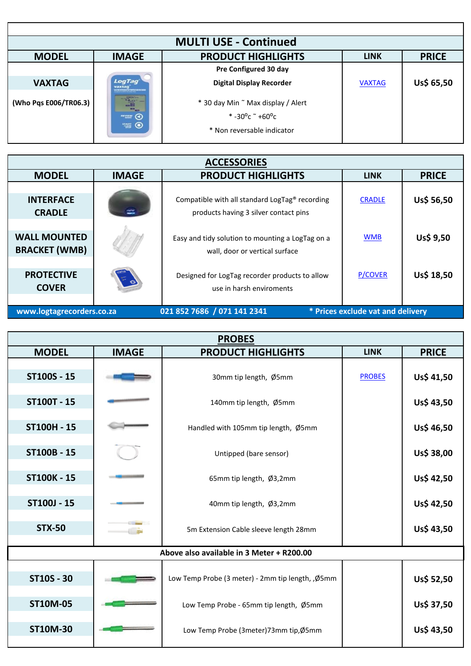| <b>MULTI USE - Continued</b> |                                                                                                                                        |                                                                                                                   |               |              |  |
|------------------------------|----------------------------------------------------------------------------------------------------------------------------------------|-------------------------------------------------------------------------------------------------------------------|---------------|--------------|--|
| <b>MODEL</b>                 | <b>IMAGE</b>                                                                                                                           | <b>PRODUCT HIGHLIGHTS</b>                                                                                         | <b>LINK</b>   | <b>PRICE</b> |  |
|                              |                                                                                                                                        | Pre Configured 30 day                                                                                             |               |              |  |
| <b>VAXTAG</b>                | LogTag<br>vaxtaq<br>NE REPORTED THEFTA THE RECKL                                                                                       | <b>Digital Display Recorder</b>                                                                                   | <b>VAXTAG</b> | Us\$ 65,50   |  |
| (Who Pqs E006/TR06.3)        | $\begin{bmatrix} \mathbf{u}_1 \\ \mathbf{u}_2 \\ \mathbf{u}_3 \\ \mathbf{u}_4 \end{bmatrix}$<br>$\sum_{n=1}^{\infty}$<br><b>TANK O</b> | * 30 day Min ~ Max display / Alert<br>$*$ -30 <sup>o</sup> c $*$ +60 <sup>o</sup> c<br>* Non reversable indicator |               |              |  |

| <b>ACCESSORIES</b>                          |              |                                                                                         |                |              |
|---------------------------------------------|--------------|-----------------------------------------------------------------------------------------|----------------|--------------|
| <b>MODEL</b>                                | <b>IMAGE</b> | <b>PRODUCT HIGHLIGHTS</b>                                                               | <b>LINK</b>    | <b>PRICE</b> |
| <b>INTERFACE</b><br><b>CRADLE</b>           | ⋍            | Compatible with all standard LogTag® recording<br>products having 3 silver contact pins | <b>CRADLE</b>  | Us\$ 56,50   |
| <b>WALL MOUNTED</b><br><b>BRACKET (WMB)</b> |              | Easy and tidy solution to mounting a LogTag on a<br>wall, door or vertical surface      | <b>WMB</b>     | Us\$ 9,50    |
| <b>PROTECTIVE</b><br><b>COVER</b>           |              | Designed for LogTag recorder products to allow<br>use in harsh enviroments              | <b>P/COVER</b> | Us\$ 18,50   |

 **[www.logtagrecorders](http://www.logtagrecorders.co.za/).co.za 021 852 7686 / 071 141 2341 \* Prices exclude vat and delivery**

| <b>PROBES</b>      |              |                                                   |               |              |  |
|--------------------|--------------|---------------------------------------------------|---------------|--------------|--|
| <b>MODEL</b>       | <b>IMAGE</b> | <b>PRODUCT HIGHLIGHTS</b>                         | <b>LINK</b>   | <b>PRICE</b> |  |
| ST100S - 15        |              | 30mm tip length, Ø5mm                             | <b>PROBES</b> | Us\$ 41,50   |  |
| <b>ST100T - 15</b> |              | 140mm tip length, Ø5mm                            |               | Us\$ 43,50   |  |
| ST100H - 15        |              | Handled with 105mm tip length, Ø5mm               |               | Us\$ 46,50   |  |
| ST100B - 15        |              | Untipped (bare sensor)                            |               | Us\$ 38,00   |  |
| <b>ST100K - 15</b> |              | 65mm tip length, Ø3,2mm                           |               | Us\$ 42,50   |  |
| ST100J - 15        |              | 40mm tip length, Ø3,2mm                           |               | Us\$ 42,50   |  |
| <b>STX-50</b>      | <b>under</b> | 5m Extension Cable sleeve length 28mm             |               | Us\$ 43,50   |  |
|                    |              | Above also available in 3 Meter + R200.00         |               |              |  |
| <b>ST10S - 30</b>  |              | Low Temp Probe (3 meter) - 2mm tip length, , Ø5mm |               | Us\$ 52,50   |  |
| <b>ST10M-05</b>    |              | Low Temp Probe - 65mm tip length, Ø5mm            |               | Us\$ 37,50   |  |
| <b>ST10M-30</b>    |              | Low Temp Probe (3meter)73mm tip,Ø5mm              |               | Us\$ 43,50   |  |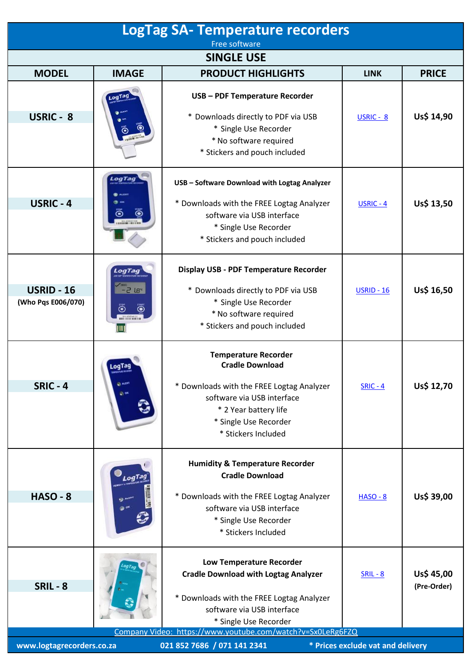| <b>LogTag SA- Temperature recorders</b>                                                       |                                                     |                                                                                                                                                                                                                                                  |                   |                           |  |
|-----------------------------------------------------------------------------------------------|-----------------------------------------------------|--------------------------------------------------------------------------------------------------------------------------------------------------------------------------------------------------------------------------------------------------|-------------------|---------------------------|--|
| Free software<br><b>SINGLE USE</b>                                                            |                                                     |                                                                                                                                                                                                                                                  |                   |                           |  |
| <b>MODEL</b>                                                                                  | <b>IMAGE</b>                                        | <b>PRODUCT HIGHLIGHTS</b>                                                                                                                                                                                                                        | <b>LINK</b>       | <b>PRICE</b>              |  |
| <b>USRIC - 8</b>                                                                              | LogTag                                              | USB - PDF Temperature Recorder<br>* Downloads directly to PDF via USB<br>* Single Use Recorder<br>* No software required<br>* Stickers and pouch included                                                                                        | $USRIC - 8$       | Us\$ 14,90                |  |
| <b>USRIC - 4</b>                                                                              | LogTag<br>Õ                                         | USB - Software Download with Logtag Analyzer<br>* Downloads with the FREE Logtag Analyzer<br>software via USB interface<br>* Single Use Recorder<br>* Stickers and pouch included                                                                | $USRIC - 4$       | Us\$ 13,50                |  |
| <b>USRID - 16</b><br>(Who Pqs E006/070)                                                       | LogTag<br>$-5.18c$<br>Ö<br>$\ddot{\mathbf{O}}$<br>Ш | Display USB - PDF Temperature Recorder<br>* Downloads directly to PDF via USB<br>* Single Use Recorder<br>* No software required<br>* Stickers and pouch included                                                                                | <b>USRID - 16</b> | Us\$ 16,50                |  |
| <b>SRIC - 4</b>                                                                               | LogTag<br><b>CI ALEST</b><br>$\rightarrow$ or       | <b>Temperature Recorder</b><br><b>Cradle Download</b><br>* Downloads with the FREE Logtag Analyzer<br>software via USB interface<br>* 2 Year battery life<br>* Single Use Recorder<br>* Stickers Included                                        | $SRIC - 4$        | Us\$ 12,70                |  |
| <b>HASO - 8</b>                                                                               |                                                     | <b>Humidity &amp; Temperature Recorder</b><br><b>Cradle Download</b><br>* Downloads with the FREE Logtag Analyzer<br>software via USB interface<br>* Single Use Recorder<br>* Stickers Included                                                  | <b>HASO - 8</b>   | Us\$ 39,00                |  |
| <b>SRIL-8</b>                                                                                 |                                                     | <b>Low Temperature Recorder</b><br><b>Cradle Download with Logtag Analyzer</b><br>* Downloads with the FREE Logtag Analyzer<br>software via USB interface<br>* Single Use Recorder<br>Company Video: https://www.youtube.com/watch?v=Sx0LeRg6FZQ | $SRIL - 8$        | Us\$ 45,00<br>(Pre-Order) |  |
| www.logtagrecorders.co.za<br>021 852 7686 / 071 141 2341<br>* Prices exclude vat and delivery |                                                     |                                                                                                                                                                                                                                                  |                   |                           |  |